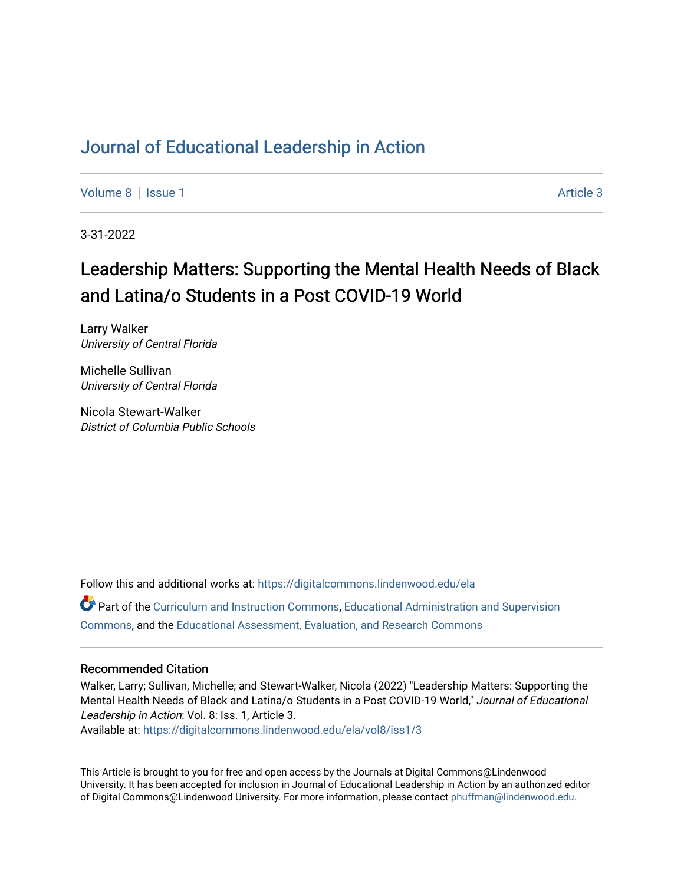## [Journal of Educational Leadership in Action](https://digitalcommons.lindenwood.edu/ela)

[Volume 8](https://digitalcommons.lindenwood.edu/ela/vol8) | [Issue 1](https://digitalcommons.lindenwood.edu/ela/vol8/iss1) Article 3

3-31-2022

# Leadership Matters: Supporting the Mental Health Needs of Black and Latina/o Students in a Post COVID-19 World

Larry Walker University of Central Florida

Michelle Sullivan University of Central Florida

Nicola Stewart-Walker District of Columbia Public Schools

Follow this and additional works at: [https://digitalcommons.lindenwood.edu/ela](https://digitalcommons.lindenwood.edu/ela?utm_source=digitalcommons.lindenwood.edu%2Fela%2Fvol8%2Fiss1%2F3&utm_medium=PDF&utm_campaign=PDFCoverPages) 

Part of the [Curriculum and Instruction Commons,](http://network.bepress.com/hgg/discipline/786?utm_source=digitalcommons.lindenwood.edu%2Fela%2Fvol8%2Fiss1%2F3&utm_medium=PDF&utm_campaign=PDFCoverPages) [Educational Administration and Supervision](http://network.bepress.com/hgg/discipline/787?utm_source=digitalcommons.lindenwood.edu%2Fela%2Fvol8%2Fiss1%2F3&utm_medium=PDF&utm_campaign=PDFCoverPages)  [Commons](http://network.bepress.com/hgg/discipline/787?utm_source=digitalcommons.lindenwood.edu%2Fela%2Fvol8%2Fiss1%2F3&utm_medium=PDF&utm_campaign=PDFCoverPages), and the [Educational Assessment, Evaluation, and Research Commons](http://network.bepress.com/hgg/discipline/796?utm_source=digitalcommons.lindenwood.edu%2Fela%2Fvol8%2Fiss1%2F3&utm_medium=PDF&utm_campaign=PDFCoverPages)

## Recommended Citation

Walker, Larry; Sullivan, Michelle; and Stewart-Walker, Nicola (2022) "Leadership Matters: Supporting the Mental Health Needs of Black and Latina/o Students in a Post COVID-19 World," Journal of Educational Leadership in Action: Vol. 8: Iss. 1, Article 3.

Available at: [https://digitalcommons.lindenwood.edu/ela/vol8/iss1/3](https://digitalcommons.lindenwood.edu/ela/vol8/iss1/3?utm_source=digitalcommons.lindenwood.edu%2Fela%2Fvol8%2Fiss1%2F3&utm_medium=PDF&utm_campaign=PDFCoverPages) 

This Article is brought to you for free and open access by the Journals at Digital Commons@Lindenwood University. It has been accepted for inclusion in Journal of Educational Leadership in Action by an authorized editor of Digital Commons@Lindenwood University. For more information, please contact [phuffman@lindenwood.edu](mailto:phuffman@lindenwood.edu).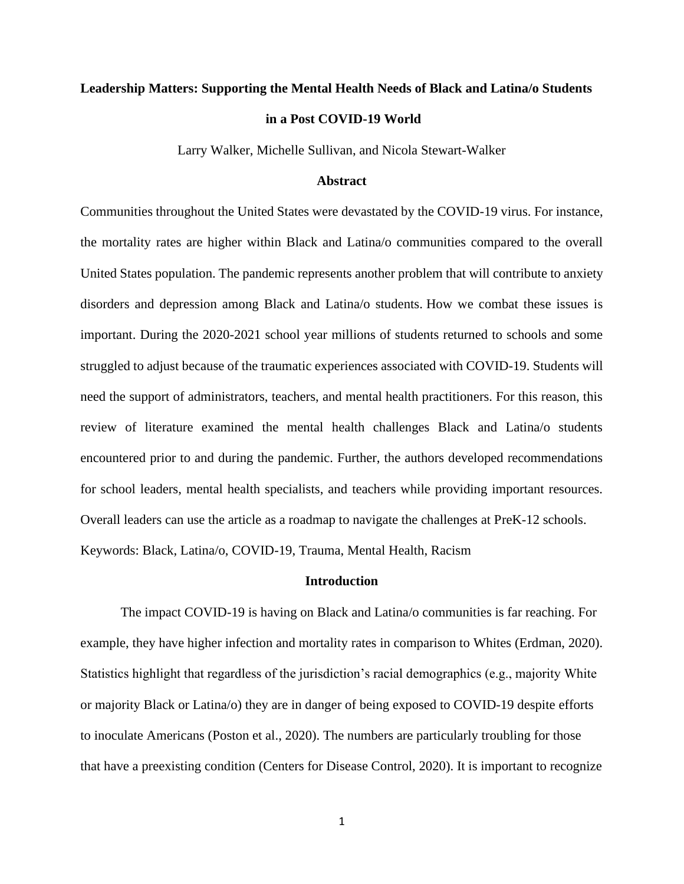# **Leadership Matters: Supporting the Mental Health Needs of Black and Latina/o Students in a Post COVID-19 World**

Larry Walker, Michelle Sullivan, and Nicola Stewart-Walker

## **Abstract**

Communities throughout the United States were devastated by the COVID-19 virus. For instance, the mortality rates are higher within Black and Latina/o communities compared to the overall United States population. The pandemic represents another problem that will contribute to anxiety disorders and depression among Black and Latina/o students. How we combat these issues is important. During the 2020-2021 school year millions of students returned to schools and some struggled to adjust because of the traumatic experiences associated with COVID-19. Students will need the support of administrators, teachers, and mental health practitioners. For this reason, this review of literature examined the mental health challenges Black and Latina/o students encountered prior to and during the pandemic. Further, the authors developed recommendations for school leaders, mental health specialists, and teachers while providing important resources. Overall leaders can use the article as a roadmap to navigate the challenges at PreK-12 schools. Keywords: Black, Latina/o, COVID-19, Trauma, Mental Health, Racism

## **Introduction**

The impact COVID-19 is having on Black and Latina/o communities is far reaching. For example, they have higher infection and mortality rates in comparison to Whites (Erdman, 2020). Statistics highlight that regardless of the jurisdiction's racial demographics (e.g., majority White or majority Black or Latina/o) they are in danger of being exposed to COVID-19 despite efforts to inoculate Americans (Poston et al., 2020). The numbers are particularly troubling for those that have a preexisting condition (Centers for Disease Control, 2020). It is important to recognize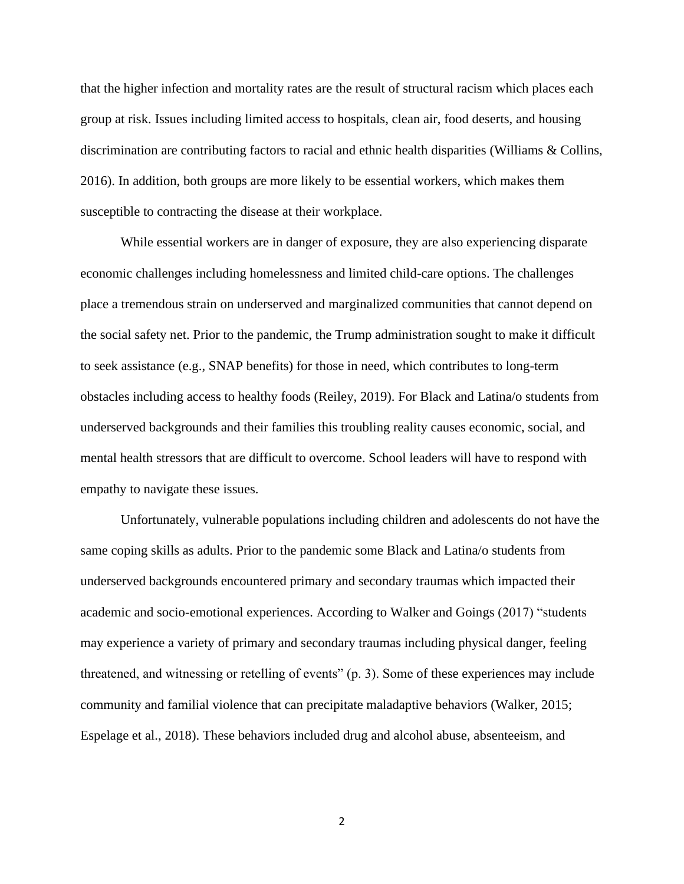that the higher infection and mortality rates are the result of structural racism which places each group at risk. Issues including limited access to hospitals, clean air, food deserts, and housing discrimination are contributing factors to racial and ethnic health disparities (Williams & Collins, 2016). In addition, both groups are more likely to be essential workers, which makes them susceptible to contracting the disease at their workplace.

While essential workers are in danger of exposure, they are also experiencing disparate economic challenges including homelessness and limited child-care options. The challenges place a tremendous strain on underserved and marginalized communities that cannot depend on the social safety net. Prior to the pandemic, the Trump administration sought to make it difficult to seek assistance (e.g., SNAP benefits) for those in need, which contributes to long-term obstacles including access to healthy foods (Reiley, 2019). For Black and Latina/o students from underserved backgrounds and their families this troubling reality causes economic, social, and mental health stressors that are difficult to overcome. School leaders will have to respond with empathy to navigate these issues.

Unfortunately, vulnerable populations including children and adolescents do not have the same coping skills as adults. Prior to the pandemic some Black and Latina/o students from underserved backgrounds encountered primary and secondary traumas which impacted their academic and socio-emotional experiences. According to Walker and Goings (2017) "students may experience a variety of primary and secondary traumas including physical danger, feeling threatened, and witnessing or retelling of events" (p. 3). Some of these experiences may include community and familial violence that can precipitate maladaptive behaviors (Walker, 2015; Espelage et al., 2018). These behaviors included drug and alcohol abuse, absenteeism, and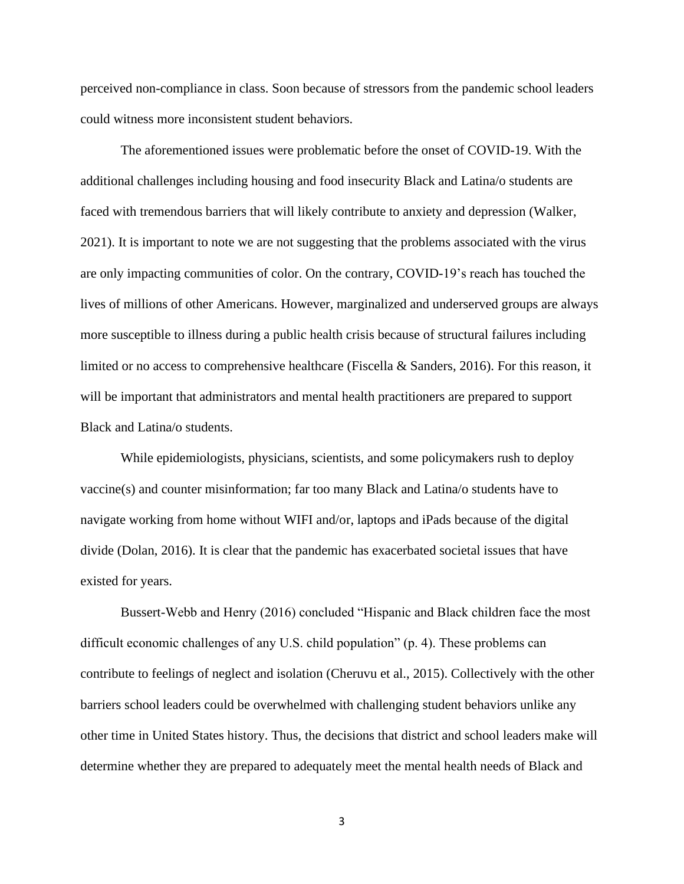perceived non-compliance in class. Soon because of stressors from the pandemic school leaders could witness more inconsistent student behaviors.

The aforementioned issues were problematic before the onset of COVID-19. With the additional challenges including housing and food insecurity Black and Latina/o students are faced with tremendous barriers that will likely contribute to anxiety and depression (Walker, 2021). It is important to note we are not suggesting that the problems associated with the virus are only impacting communities of color. On the contrary, COVID-19's reach has touched the lives of millions of other Americans. However, marginalized and underserved groups are always more susceptible to illness during a public health crisis because of structural failures including limited or no access to comprehensive healthcare (Fiscella & Sanders, 2016). For this reason, it will be important that administrators and mental health practitioners are prepared to support Black and Latina/o students.

While epidemiologists, physicians, scientists, and some policymakers rush to deploy vaccine(s) and counter misinformation; far too many Black and Latina/o students have to navigate working from home without WIFI and/or, laptops and iPads because of the digital divide (Dolan, 2016). It is clear that the pandemic has exacerbated societal issues that have existed for years.

Bussert-Webb and Henry (2016) concluded "Hispanic and Black children face the most difficult economic challenges of any U.S. child population" (p. 4). These problems can contribute to feelings of neglect and isolation (Cheruvu et al., 2015). Collectively with the other barriers school leaders could be overwhelmed with challenging student behaviors unlike any other time in United States history. Thus, the decisions that district and school leaders make will determine whether they are prepared to adequately meet the mental health needs of Black and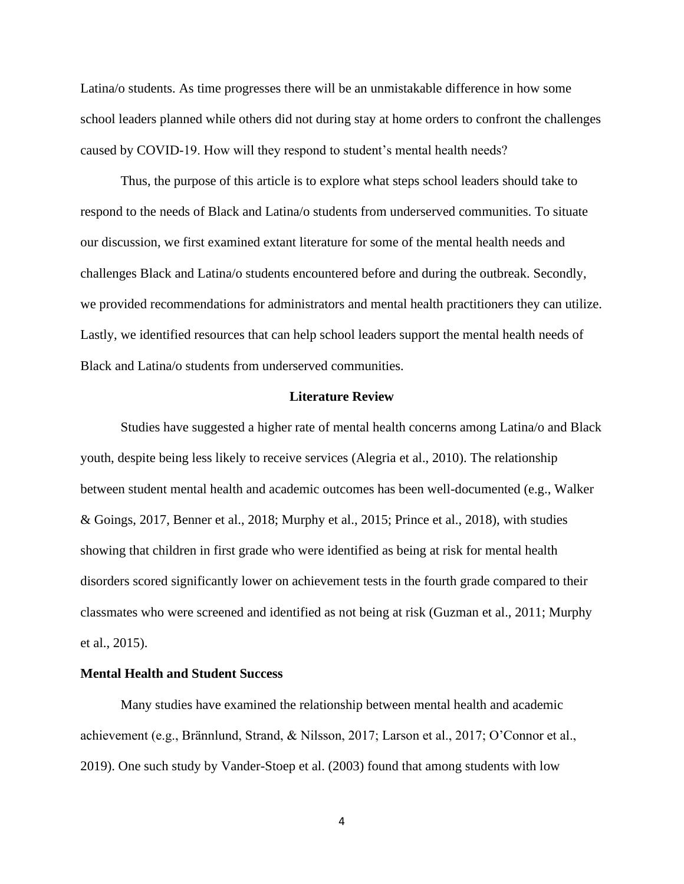Latina/o students. As time progresses there will be an unmistakable difference in how some school leaders planned while others did not during stay at home orders to confront the challenges caused by COVID-19. How will they respond to student's mental health needs?

Thus, the purpose of this article is to explore what steps school leaders should take to respond to the needs of Black and Latina/o students from underserved communities. To situate our discussion, we first examined extant literature for some of the mental health needs and challenges Black and Latina/o students encountered before and during the outbreak. Secondly, we provided recommendations for administrators and mental health practitioners they can utilize. Lastly, we identified resources that can help school leaders support the mental health needs of Black and Latina/o students from underserved communities.

### **Literature Review**

Studies have suggested a higher rate of mental health concerns among Latina/o and Black youth, despite being less likely to receive services (Alegria et al., 2010). The relationship between student mental health and academic outcomes has been well-documented (e.g., Walker & Goings, 2017, Benner et al., 2018; Murphy et al., 2015; Prince et al., 2018), with studies showing that children in first grade who were identified as being at risk for mental health disorders scored significantly lower on achievement tests in the fourth grade compared to their classmates who were screened and identified as not being at risk (Guzman et al., 2011; Murphy et al., 2015).

## **Mental Health and Student Success**

Many studies have examined the relationship between mental health and academic achievement (e.g., Brännlund, Strand, & Nilsson, 2017; Larson et al., 2017; O'Connor et al., 2019). One such study by Vander-Stoep et al. (2003) found that among students with low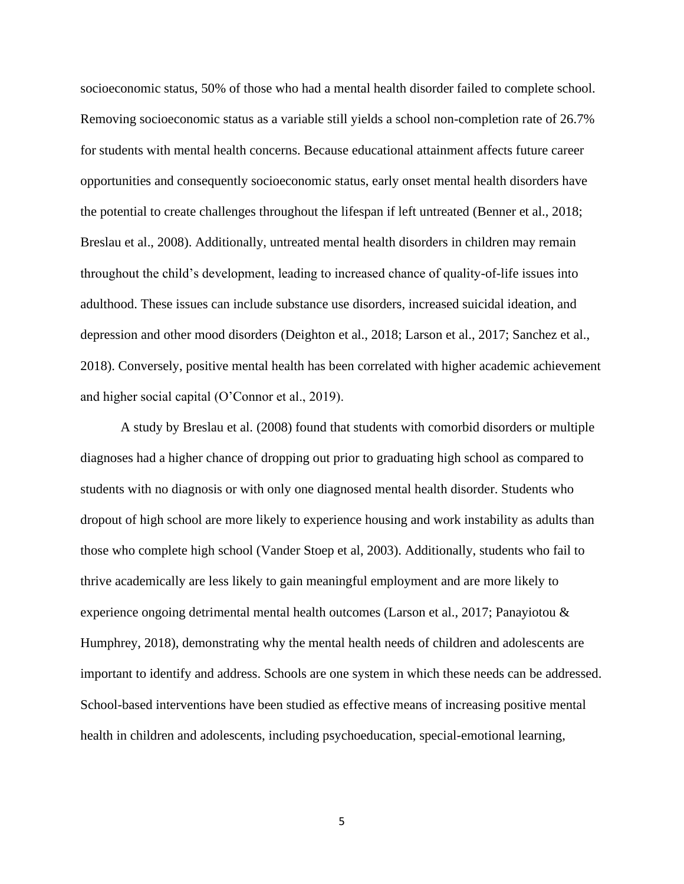socioeconomic status, 50% of those who had a mental health disorder failed to complete school. Removing socioeconomic status as a variable still yields a school non-completion rate of 26.7% for students with mental health concerns. Because educational attainment affects future career opportunities and consequently socioeconomic status, early onset mental health disorders have the potential to create challenges throughout the lifespan if left untreated (Benner et al., 2018; Breslau et al., 2008). Additionally, untreated mental health disorders in children may remain throughout the child's development, leading to increased chance of quality-of-life issues into adulthood. These issues can include substance use disorders, increased suicidal ideation, and depression and other mood disorders (Deighton et al., 2018; Larson et al., 2017; Sanchez et al., 2018). Conversely, positive mental health has been correlated with higher academic achievement and higher social capital (O'Connor et al., 2019).

A study by Breslau et al. (2008) found that students with comorbid disorders or multiple diagnoses had a higher chance of dropping out prior to graduating high school as compared to students with no diagnosis or with only one diagnosed mental health disorder. Students who dropout of high school are more likely to experience housing and work instability as adults than those who complete high school (Vander Stoep et al, 2003). Additionally, students who fail to thrive academically are less likely to gain meaningful employment and are more likely to experience ongoing detrimental mental health outcomes (Larson et al., 2017; Panayiotou & Humphrey, 2018), demonstrating why the mental health needs of children and adolescents are important to identify and address. Schools are one system in which these needs can be addressed. School-based interventions have been studied as effective means of increasing positive mental health in children and adolescents, including psychoeducation, special-emotional learning,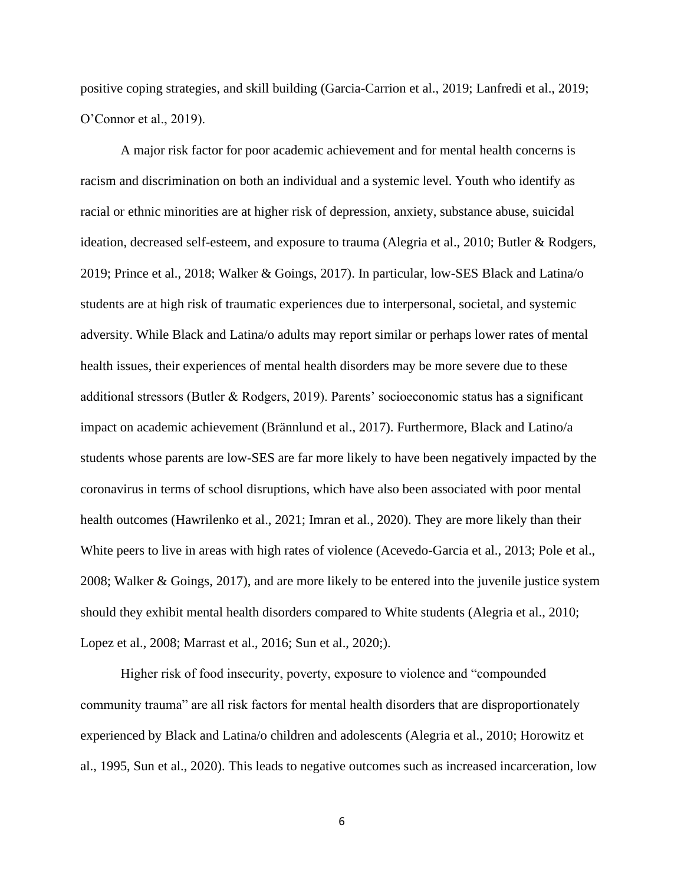positive coping strategies, and skill building (Garcia-Carrion et al., 2019; Lanfredi et al., 2019; O'Connor et al., 2019).

A major risk factor for poor academic achievement and for mental health concerns is racism and discrimination on both an individual and a systemic level. Youth who identify as racial or ethnic minorities are at higher risk of depression, anxiety, substance abuse, suicidal ideation, decreased self-esteem, and exposure to trauma (Alegria et al., 2010; Butler & Rodgers, 2019; Prince et al., 2018; Walker & Goings, 2017). In particular, low-SES Black and Latina/o students are at high risk of traumatic experiences due to interpersonal, societal, and systemic adversity. While Black and Latina/o adults may report similar or perhaps lower rates of mental health issues, their experiences of mental health disorders may be more severe due to these additional stressors (Butler & Rodgers, 2019). Parents' socioeconomic status has a significant impact on academic achievement (Brännlund et al., 2017). Furthermore, Black and Latino/a students whose parents are low-SES are far more likely to have been negatively impacted by the coronavirus in terms of school disruptions, which have also been associated with poor mental health outcomes (Hawrilenko et al., 2021; Imran et al., 2020). They are more likely than their White peers to live in areas with high rates of violence (Acevedo-Garcia et al., 2013; Pole et al., 2008; Walker & Goings, 2017), and are more likely to be entered into the juvenile justice system should they exhibit mental health disorders compared to White students (Alegria et al., 2010; Lopez et al., 2008; Marrast et al., 2016; Sun et al., 2020;).

Higher risk of food insecurity, poverty, exposure to violence and "compounded community trauma" are all risk factors for mental health disorders that are disproportionately experienced by Black and Latina/o children and adolescents (Alegria et al., 2010; Horowitz et al., 1995, Sun et al., 2020). This leads to negative outcomes such as increased incarceration, low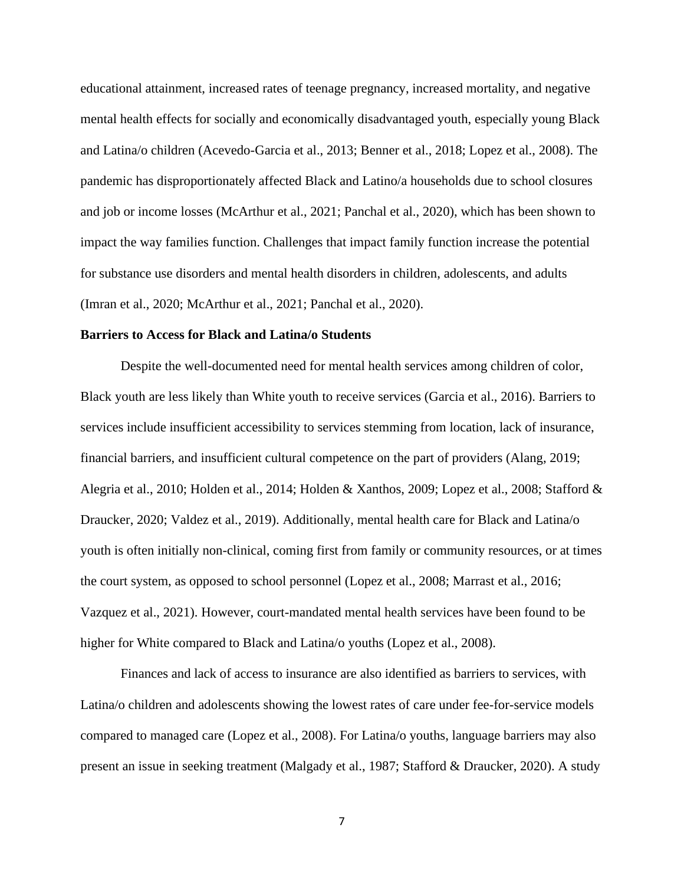educational attainment, increased rates of teenage pregnancy, increased mortality, and negative mental health effects for socially and economically disadvantaged youth, especially young Black and Latina/o children (Acevedo-Garcia et al., 2013; Benner et al., 2018; Lopez et al., 2008). The pandemic has disproportionately affected Black and Latino/a households due to school closures and job or income losses (McArthur et al., 2021; Panchal et al., 2020), which has been shown to impact the way families function. Challenges that impact family function increase the potential for substance use disorders and mental health disorders in children, adolescents, and adults (Imran et al., 2020; McArthur et al., 2021; Panchal et al., 2020).

### **Barriers to Access for Black and Latina/o Students**

Despite the well-documented need for mental health services among children of color, Black youth are less likely than White youth to receive services (Garcia et al., 2016). Barriers to services include insufficient accessibility to services stemming from location, lack of insurance, financial barriers, and insufficient cultural competence on the part of providers (Alang, 2019; Alegria et al., 2010; Holden et al., 2014; Holden & Xanthos, 2009; Lopez et al., 2008; Stafford & Draucker, 2020; Valdez et al., 2019). Additionally, mental health care for Black and Latina/o youth is often initially non-clinical, coming first from family or community resources, or at times the court system, as opposed to school personnel (Lopez et al., 2008; Marrast et al., 2016; Vazquez et al., 2021). However, court-mandated mental health services have been found to be higher for White compared to Black and Latina/o youths (Lopez et al., 2008).

Finances and lack of access to insurance are also identified as barriers to services, with Latina/o children and adolescents showing the lowest rates of care under fee-for-service models compared to managed care (Lopez et al., 2008). For Latina/o youths, language barriers may also present an issue in seeking treatment (Malgady et al., 1987; Stafford & Draucker, 2020). A study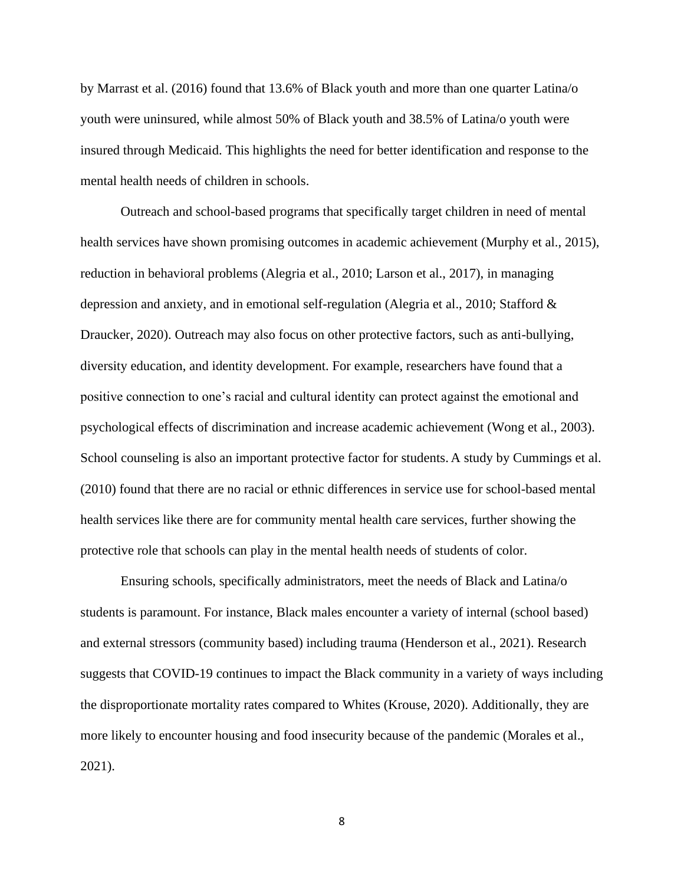by Marrast et al. (2016) found that 13.6% of Black youth and more than one quarter Latina/o youth were uninsured, while almost 50% of Black youth and 38.5% of Latina/o youth were insured through Medicaid. This highlights the need for better identification and response to the mental health needs of children in schools.

Outreach and school-based programs that specifically target children in need of mental health services have shown promising outcomes in academic achievement (Murphy et al., 2015), reduction in behavioral problems (Alegria et al., 2010; Larson et al., 2017), in managing depression and anxiety, and in emotional self-regulation (Alegria et al., 2010; Stafford & Draucker, 2020). Outreach may also focus on other protective factors, such as anti-bullying, diversity education, and identity development. For example, researchers have found that a positive connection to one's racial and cultural identity can protect against the emotional and psychological effects of discrimination and increase academic achievement (Wong et al., 2003). School counseling is also an important protective factor for students. A study by Cummings et al. (2010) found that there are no racial or ethnic differences in service use for school-based mental health services like there are for community mental health care services, further showing the protective role that schools can play in the mental health needs of students of color.

Ensuring schools, specifically administrators, meet the needs of Black and Latina/o students is paramount. For instance, Black males encounter a variety of internal (school based) and external stressors (community based) including trauma (Henderson et al., 2021). Research suggests that COVID-19 continues to impact the Black community in a variety of ways including the disproportionate mortality rates compared to Whites (Krouse, 2020). Additionally, they are more likely to encounter housing and food insecurity because of the pandemic (Morales et al., 2021).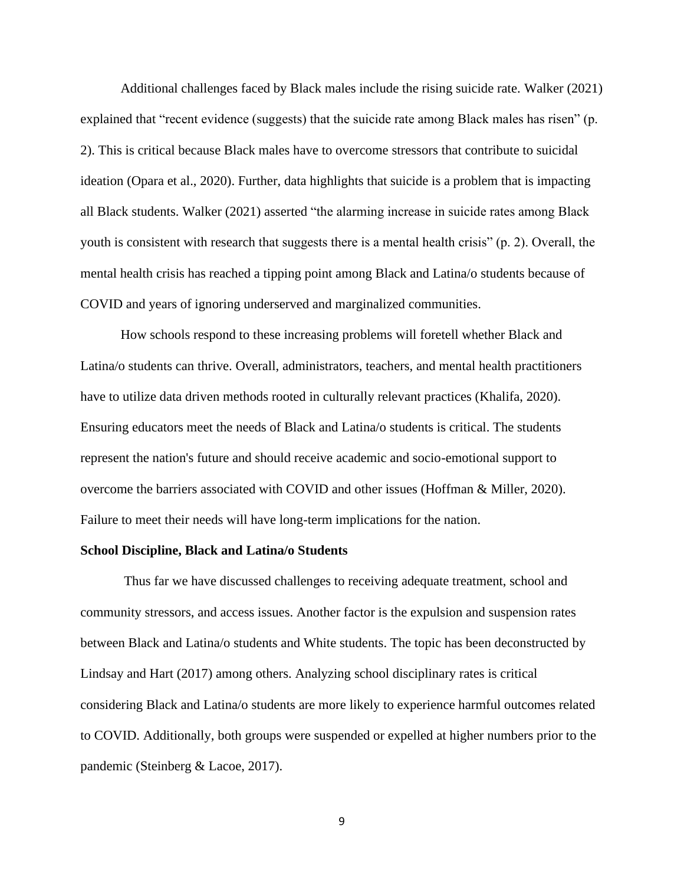Additional challenges faced by Black males include the rising suicide rate. Walker (2021) explained that "recent evidence (suggests) that the suicide rate among Black males has risen" (p. 2). This is critical because Black males have to overcome stressors that contribute to suicidal ideation (Opara et al., 2020). Further, data highlights that suicide is a problem that is impacting all Black students. Walker (2021) asserted "the alarming increase in suicide rates among Black youth is consistent with research that suggests there is a mental health crisis" (p. 2). Overall, the mental health crisis has reached a tipping point among Black and Latina/o students because of COVID and years of ignoring underserved and marginalized communities.

How schools respond to these increasing problems will foretell whether Black and Latina/o students can thrive. Overall, administrators, teachers, and mental health practitioners have to utilize data driven methods rooted in culturally relevant practices (Khalifa, 2020). Ensuring educators meet the needs of Black and Latina/o students is critical. The students represent the nation's future and should receive academic and socio-emotional support to overcome the barriers associated with COVID and other issues (Hoffman & Miller, 2020). Failure to meet their needs will have long-term implications for the nation.

#### **School Discipline, Black and Latina/o Students**

Thus far we have discussed challenges to receiving adequate treatment, school and community stressors, and access issues. Another factor is the expulsion and suspension rates between Black and Latina/o students and White students. The topic has been deconstructed by Lindsay and Hart (2017) among others. Analyzing school disciplinary rates is critical considering Black and Latina/o students are more likely to experience harmful outcomes related to COVID. Additionally, both groups were suspended or expelled at higher numbers prior to the pandemic (Steinberg & Lacoe, 2017).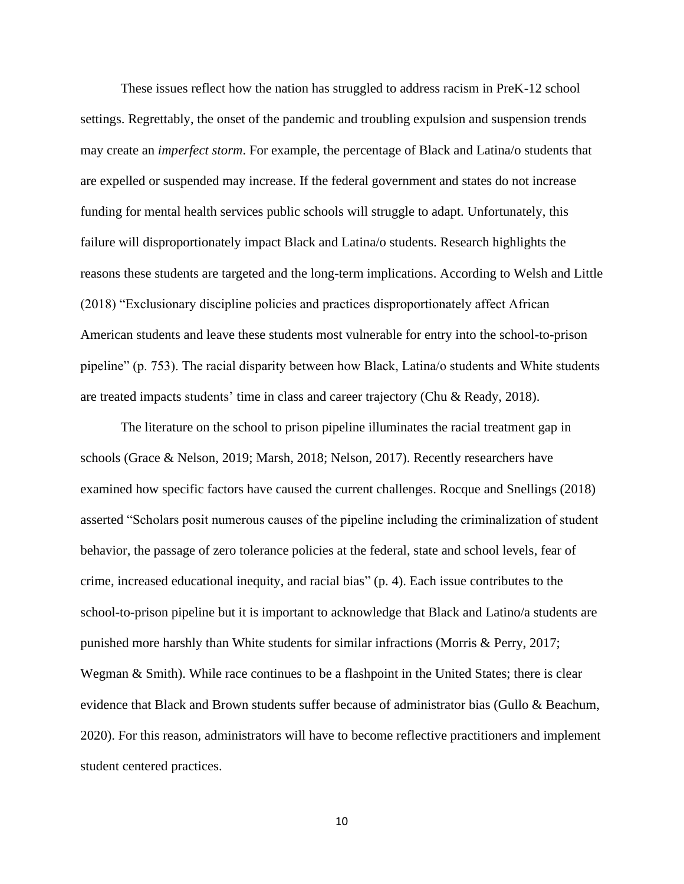These issues reflect how the nation has struggled to address racism in PreK-12 school settings. Regrettably, the onset of the pandemic and troubling expulsion and suspension trends may create an *imperfect storm*. For example, the percentage of Black and Latina/o students that are expelled or suspended may increase. If the federal government and states do not increase funding for mental health services public schools will struggle to adapt. Unfortunately, this failure will disproportionately impact Black and Latina/o students. Research highlights the reasons these students are targeted and the long-term implications. According to Welsh and Little (2018) "Exclusionary discipline policies and practices disproportionately affect African American students and leave these students most vulnerable for entry into the school-to-prison pipeline" (p. 753). The racial disparity between how Black, Latina/o students and White students are treated impacts students' time in class and career trajectory (Chu & Ready, 2018).

The literature on the school to prison pipeline illuminates the racial treatment gap in schools (Grace & Nelson, 2019; Marsh, 2018; Nelson, 2017). Recently researchers have examined how specific factors have caused the current challenges. Rocque and Snellings (2018) asserted "Scholars posit numerous causes of the pipeline including the criminalization of student behavior, the passage of zero tolerance policies at the federal, state and school levels, fear of crime, increased educational inequity, and racial bias" (p. 4). Each issue contributes to the school-to-prison pipeline but it is important to acknowledge that Black and Latino/a students are punished more harshly than White students for similar infractions (Morris & Perry, 2017; Wegman & Smith). While race continues to be a flashpoint in the United States; there is clear evidence that Black and Brown students suffer because of administrator bias (Gullo & Beachum, 2020). For this reason, administrators will have to become reflective practitioners and implement student centered practices.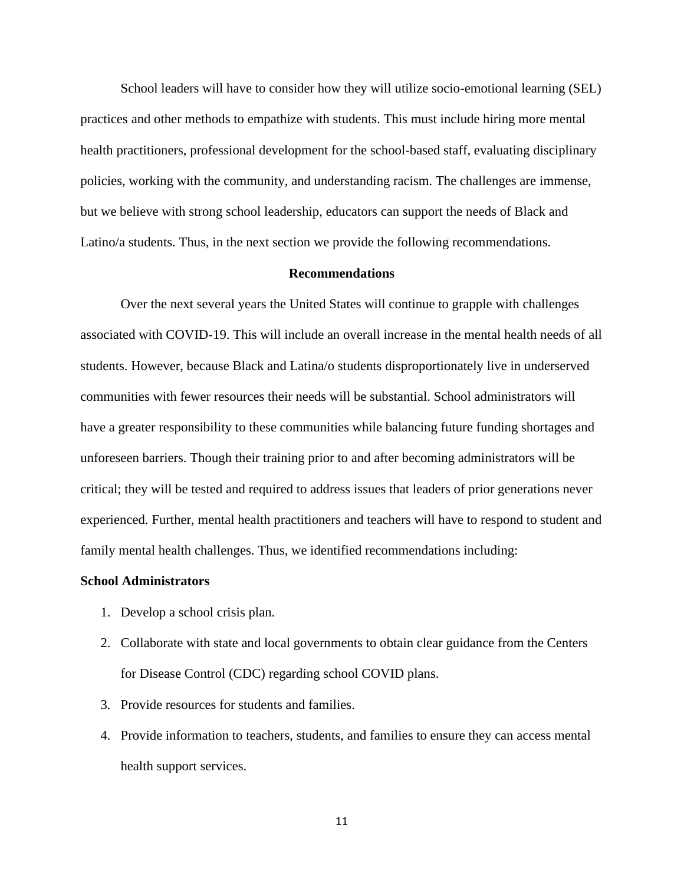School leaders will have to consider how they will utilize socio-emotional learning (SEL) practices and other methods to empathize with students. This must include hiring more mental health practitioners, professional development for the school-based staff, evaluating disciplinary policies, working with the community, and understanding racism. The challenges are immense, but we believe with strong school leadership, educators can support the needs of Black and Latino/a students. Thus, in the next section we provide the following recommendations.

## **Recommendations**

Over the next several years the United States will continue to grapple with challenges associated with COVID-19. This will include an overall increase in the mental health needs of all students. However, because Black and Latina/o students disproportionately live in underserved communities with fewer resources their needs will be substantial. School administrators will have a greater responsibility to these communities while balancing future funding shortages and unforeseen barriers. Though their training prior to and after becoming administrators will be critical; they will be tested and required to address issues that leaders of prior generations never experienced. Further, mental health practitioners and teachers will have to respond to student and family mental health challenges. Thus, we identified recommendations including:

#### **School Administrators**

- 1. Develop a school crisis plan.
- 2. Collaborate with state and local governments to obtain clear guidance from the Centers for Disease Control (CDC) regarding school COVID plans.
- 3. Provide resources for students and families.
- 4. Provide information to teachers, students, and families to ensure they can access mental health support services.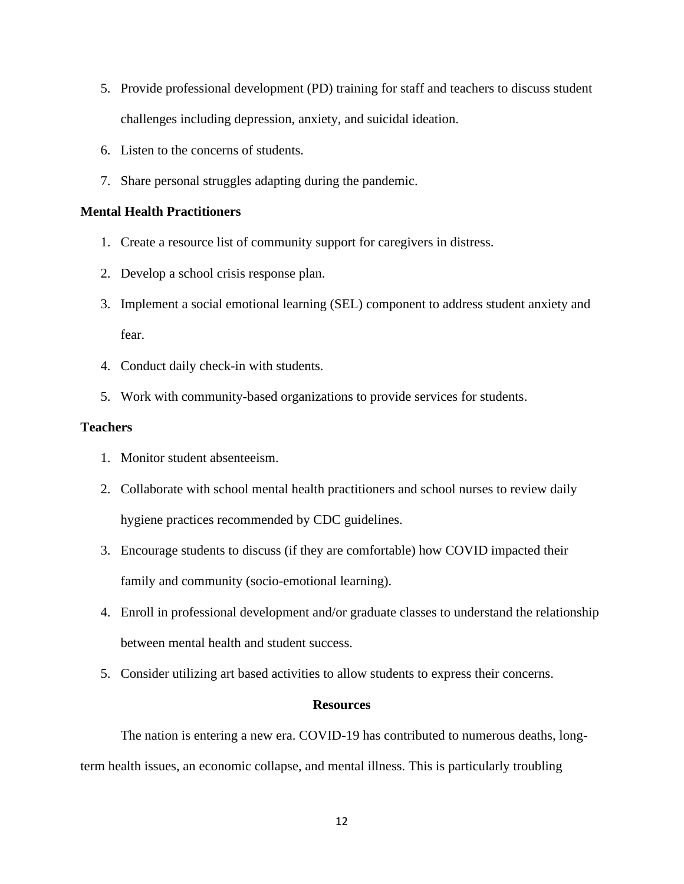- 5. Provide professional development (PD) training for staff and teachers to discuss student challenges including depression, anxiety, and suicidal ideation.
- 6. Listen to the concerns of students.
- 7. Share personal struggles adapting during the pandemic.

## **Mental Health Practitioners**

- 1. Create a resource list of community support for caregivers in distress.
- 2. Develop a school crisis response plan.
- 3. Implement a social emotional learning (SEL) component to address student anxiety and fear.
- 4. Conduct daily check-in with students.
- 5. Work with community-based organizations to provide services for students.

## **Teachers**

- 1. Monitor student absenteeism.
- 2. Collaborate with school mental health practitioners and school nurses to review daily hygiene practices recommended by CDC guidelines.
- 3. Encourage students to discuss (if they are comfortable) how COVID impacted their family and community (socio-emotional learning).
- 4. Enroll in professional development and/or graduate classes to understand the relationship between mental health and student success.
- 5. Consider utilizing art based activities to allow students to express their concerns.

## **Resources**

The nation is entering a new era. COVID-19 has contributed to numerous deaths, longterm health issues, an economic collapse, and mental illness. This is particularly troubling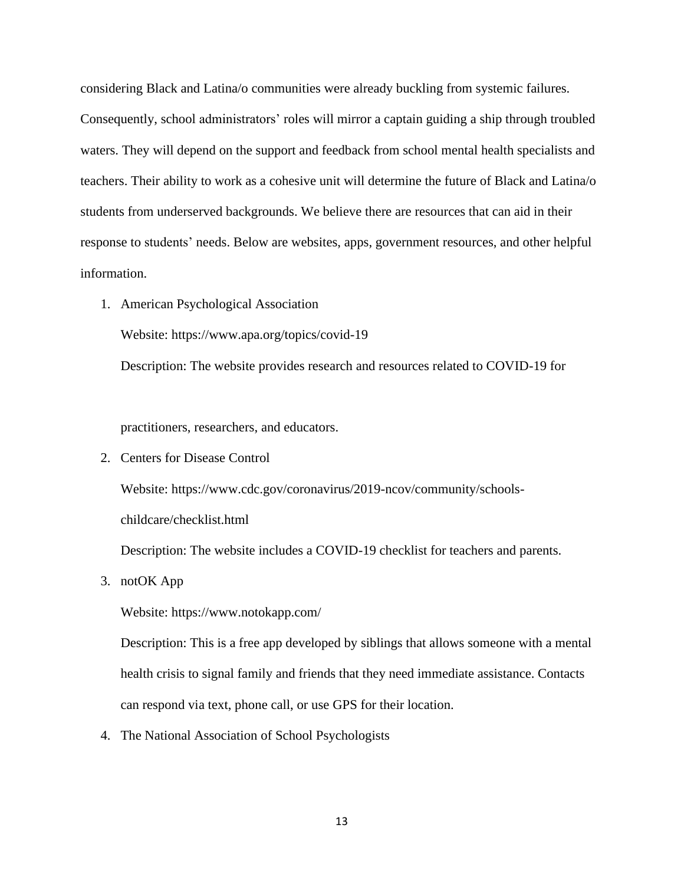considering Black and Latina/o communities were already buckling from systemic failures. Consequently, school administrators' roles will mirror a captain guiding a ship through troubled waters. They will depend on the support and feedback from school mental health specialists and teachers. Their ability to work as a cohesive unit will determine the future of Black and Latina/o students from underserved backgrounds. We believe there are resources that can aid in their response to students' needs. Below are websites, apps, government resources, and other helpful information.

1. American Psychological Association

Website:<https://www.apa.org/topics/covid-19>

Description: The website provides research and resources related to COVID-19 for

practitioners, researchers, and educators.

2. Centers for Disease Control

Website: [https://www.cdc.gov/coronavirus/2019-ncov/community/schools-](https://www.cdc.gov/coronavirus/2019-ncov/community/schools-childcare/checklist.html)

[childcare/checklist.html](https://www.cdc.gov/coronavirus/2019-ncov/community/schools-childcare/checklist.html)

Description: The website includes a COVID-19 checklist for teachers and parents.

3. notOK App

Website:<https://www.notokapp.com/>

Description: This is a free app developed by siblings that allows someone with a mental health crisis to signal family and friends that they need immediate assistance. Contacts can respond via text, phone call, or use GPS for their location.

4. The National Association of School Psychologists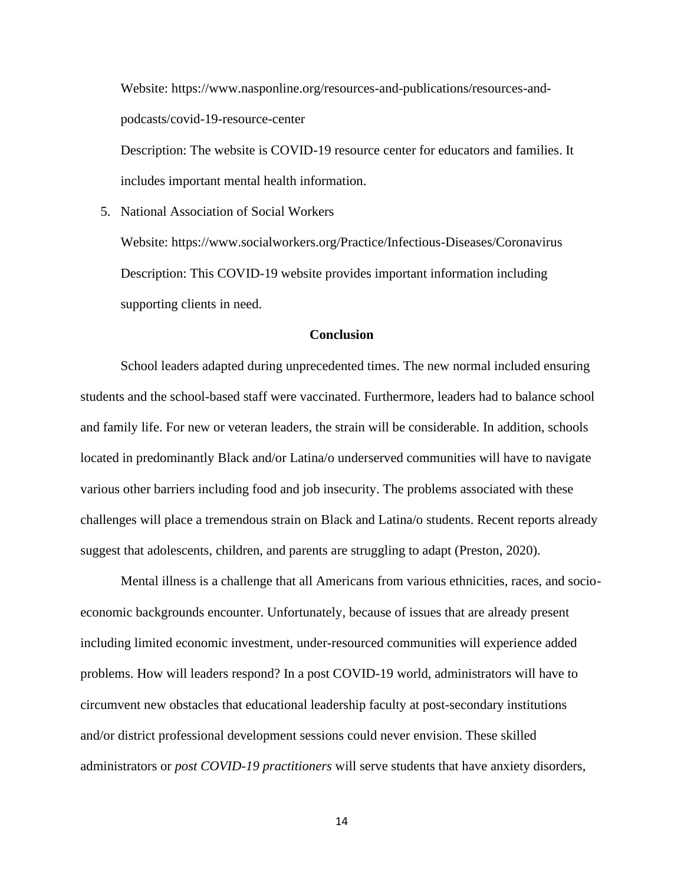Website: [https://www.nasponline.org/resources-and-publications/resources-and](https://www.nasponline.org/resources-and-publications/resources-and-podcasts/covid-19-resource-center)[podcasts/covid-19-resource-center](https://www.nasponline.org/resources-and-publications/resources-and-podcasts/covid-19-resource-center)

Description: The website is COVID-19 resource center for educators and families. It includes important mental health information.

5. National Association of Social Workers

Website:<https://www.socialworkers.org/Practice/Infectious-Diseases/Coronavirus> Description: This COVID-19 website provides important information including supporting clients in need.

## **Conclusion**

School leaders adapted during unprecedented times. The new normal included ensuring students and the school-based staff were vaccinated. Furthermore, leaders had to balance school and family life. For new or veteran leaders, the strain will be considerable. In addition, schools located in predominantly Black and/or Latina/o underserved communities will have to navigate various other barriers including food and job insecurity. The problems associated with these challenges will place a tremendous strain on Black and Latina/o students. Recent reports already suggest that adolescents, children, and parents are struggling to adapt (Preston, 2020).

Mental illness is a challenge that all Americans from various ethnicities, races, and socioeconomic backgrounds encounter. Unfortunately, because of issues that are already present including limited economic investment, under-resourced communities will experience added problems. How will leaders respond? In a post COVID-19 world, administrators will have to circumvent new obstacles that educational leadership faculty at post-secondary institutions and/or district professional development sessions could never envision. These skilled administrators or *post COVID-19 practitioners* will serve students that have anxiety disorders,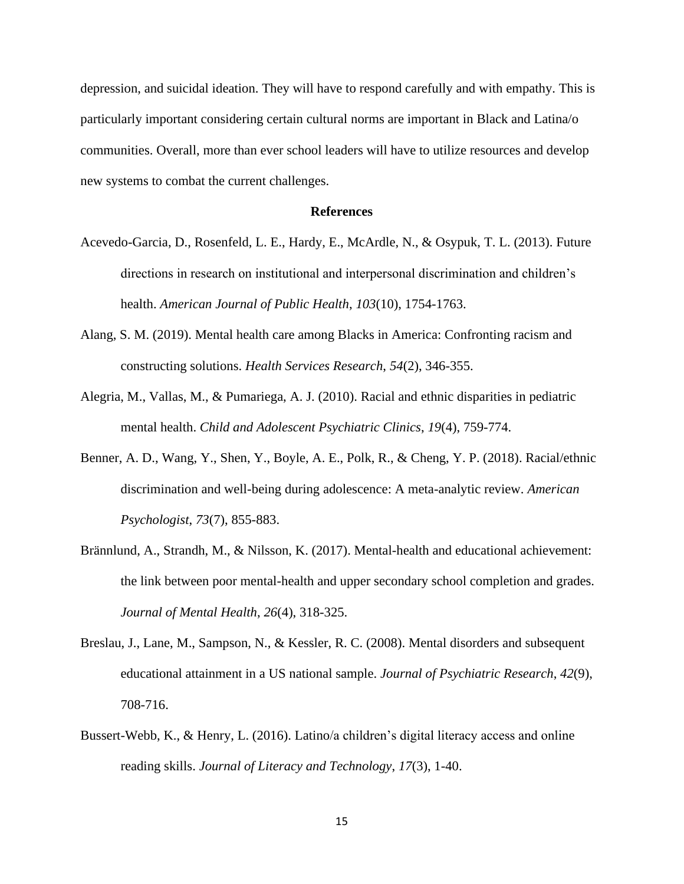depression, and suicidal ideation. They will have to respond carefully and with empathy. This is particularly important considering certain cultural norms are important in Black and Latina/o communities. Overall, more than ever school leaders will have to utilize resources and develop new systems to combat the current challenges.

#### **References**

- Acevedo-Garcia, D., Rosenfeld, L. E., Hardy, E., McArdle, N., & Osypuk, T. L. (2013). Future directions in research on institutional and interpersonal discrimination and children's health. *American Journal of Public Health*, *103*(10), 1754-1763.
- Alang, S. M. (2019). Mental health care among Blacks in America: Confronting racism and constructing solutions. *Health Services Research*, *54*(2), 346-355.
- Alegria, M., Vallas, M., & Pumariega, A. J. (2010). Racial and ethnic disparities in pediatric mental health. *Child and Adolescent Psychiatric Clinics*, *19*(4), 759-774.
- Benner, A. D., Wang, Y., Shen, Y., Boyle, A. E., Polk, R., & Cheng, Y. P. (2018). Racial/ethnic discrimination and well-being during adolescence: A meta-analytic review. *American Psychologist*, *73*(7), 855-883.
- Brännlund, A., Strandh, M., & Nilsson, K. (2017). Mental-health and educational achievement: the link between poor mental-health and upper secondary school completion and grades. *Journal of Mental Health*, *26*(4), 318-325.
- Breslau, J., Lane, M., Sampson, N., & Kessler, R. C. (2008). Mental disorders and subsequent educational attainment in a US national sample. *Journal of Psychiatric Research*, *42*(9), 708-716.
- Bussert-Webb, K., & Henry, L. (2016). Latino/a children's digital literacy access and online reading skills. *Journal of Literacy and Technology*, *17*(3), 1-40.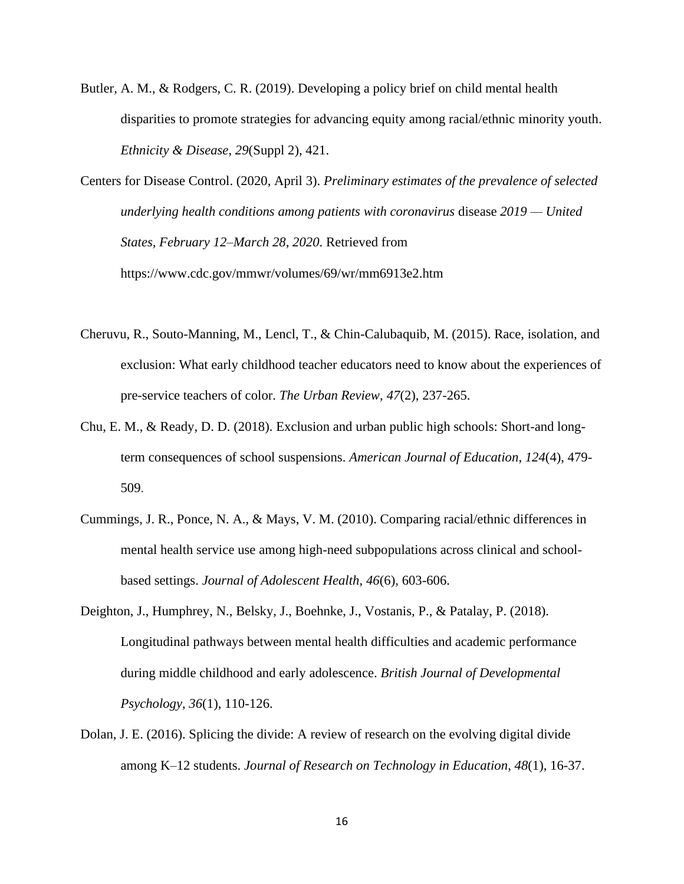Butler, A. M., & Rodgers, C. R. (2019). Developing a policy brief on child mental health disparities to promote strategies for advancing equity among racial/ethnic minority youth. *Ethnicity & Disease*, *29*(Suppl 2), 421.

Centers for Disease Control. (2020, April 3). *Preliminary estimates of the prevalence of selected underlying health conditions among patients with coronavirus* disease *2019 — United States, February 12–March 28, 2020*. Retrieved from <https://www.cdc.gov/mmwr/volumes/69/wr/mm6913e2.htm>

- Cheruvu, R., Souto-Manning, M., Lencl, T., & Chin-Calubaquib, M. (2015). Race, isolation, and exclusion: What early childhood teacher educators need to know about the experiences of pre-service teachers of color. *The Urban Review*, *47*(2), 237-265.
- Chu, E. M., & Ready, D. D. (2018). Exclusion and urban public high schools: Short-and longterm consequences of school suspensions. *American Journal of Education*, *124*(4), 479- 509.
- Cummings, J. R., Ponce, N. A., & Mays, V. M. (2010). Comparing racial/ethnic differences in mental health service use among high-need subpopulations across clinical and schoolbased settings. *Journal of Adolescent Health*, *46*(6), 603-606.
- Deighton, J., Humphrey, N., Belsky, J., Boehnke, J., Vostanis, P., & Patalay, P. (2018). Longitudinal pathways between mental health difficulties and academic performance during middle childhood and early adolescence. *British Journal of Developmental Psychology*, *36*(1), 110-126.
- Dolan, J. E. (2016). Splicing the divide: A review of research on the evolving digital divide among K–12 students. *Journal of Research on Technology in Education*, *48*(1), 16-37.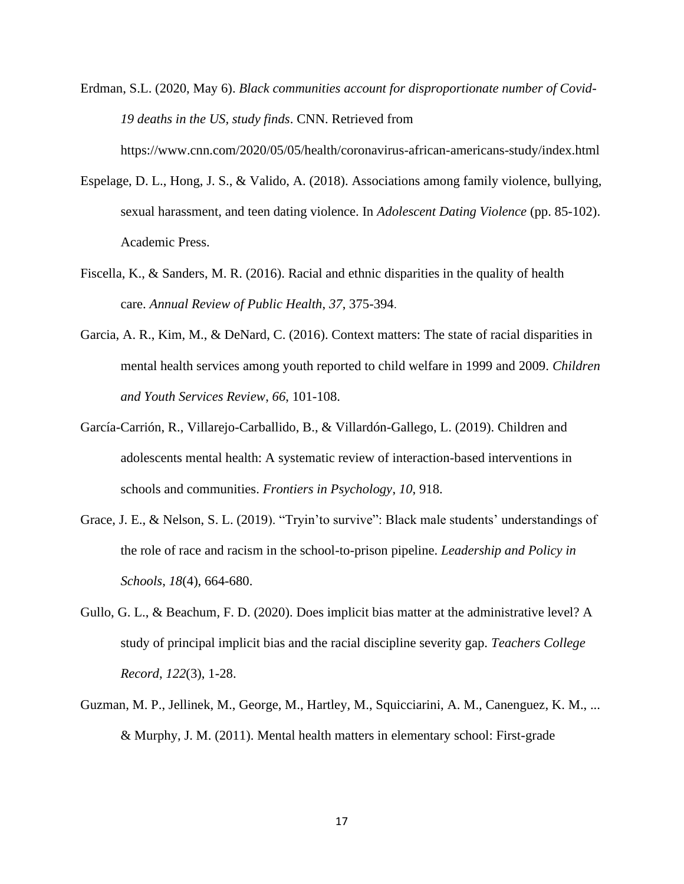Erdman, S.L. (2020, May 6). *Black communities account for disproportionate number of Covid-19 deaths in the US, study finds*. CNN. Retrieved from

<https://www.cnn.com/2020/05/05/health/coronavirus-african-americans-study/index.html>

- Espelage, D. L., Hong, J. S., & Valido, A. (2018). Associations among family violence, bullying, sexual harassment, and teen dating violence. In *Adolescent Dating Violence* (pp. 85-102). Academic Press.
- Fiscella, K., & Sanders, M. R. (2016). Racial and ethnic disparities in the quality of health care. *Annual Review of Public Health*, *37*, 375-394.
- Garcia, A. R., Kim, M., & DeNard, C. (2016). Context matters: The state of racial disparities in mental health services among youth reported to child welfare in 1999 and 2009. *Children and Youth Services Review*, *66*, 101-108.
- García-Carrión, R., Villarejo-Carballido, B., & Villardón-Gallego, L. (2019). Children and adolescents mental health: A systematic review of interaction-based interventions in schools and communities. *Frontiers in Psychology*, *10*, 918.
- Grace, J. E., & Nelson, S. L. (2019). "Tryin'to survive": Black male students' understandings of the role of race and racism in the school-to-prison pipeline. *Leadership and Policy in Schools*, *18*(4), 664-680.
- Gullo, G. L., & Beachum, F. D. (2020). Does implicit bias matter at the administrative level? A study of principal implicit bias and the racial discipline severity gap. *Teachers College Record*, *122*(3), 1-28.
- Guzman, M. P., Jellinek, M., George, M., Hartley, M., Squicciarini, A. M., Canenguez, K. M., ... & Murphy, J. M. (2011). Mental health matters in elementary school: First-grade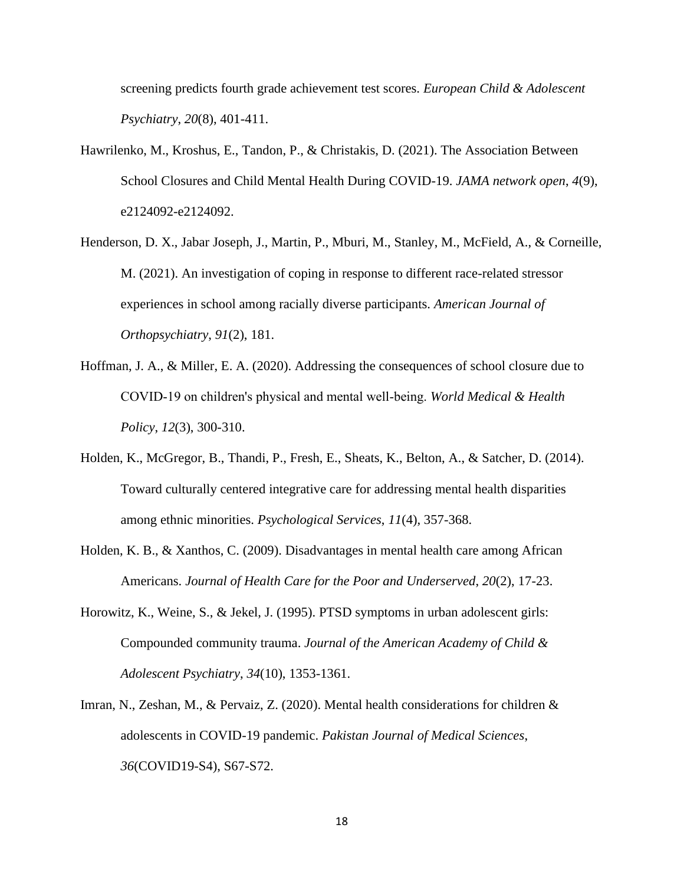screening predicts fourth grade achievement test scores. *European Child & Adolescent Psychiatry*, *20*(8), 401-411.

- Hawrilenko, M., Kroshus, E., Tandon, P., & Christakis, D. (2021). The Association Between School Closures and Child Mental Health During COVID-19. *JAMA network open*, *4*(9), e2124092-e2124092.
- Henderson, D. X., Jabar Joseph, J., Martin, P., Mburi, M., Stanley, M., McField, A., & Corneille, M. (2021). An investigation of coping in response to different race-related stressor experiences in school among racially diverse participants. *American Journal of Orthopsychiatry*, *91*(2), 181.
- Hoffman, J. A., & Miller, E. A. (2020). Addressing the consequences of school closure due to COVID‐19 on children's physical and mental well‐being. *World Medical & Health Policy*, *12*(3), 300-310.
- Holden, K., McGregor, B., Thandi, P., Fresh, E., Sheats, K., Belton, A., & Satcher, D. (2014). Toward culturally centered integrative care for addressing mental health disparities among ethnic minorities. *Psychological Services*, *11*(4), 357-368.
- Holden, K. B., & Xanthos, C. (2009). Disadvantages in mental health care among African Americans. *Journal of Health Care for the Poor and Underserved*, *20*(2), 17-23.
- Horowitz, K., Weine, S., & Jekel, J. (1995). PTSD symptoms in urban adolescent girls: Compounded community trauma. *Journal of the American Academy of Child & Adolescent Psychiatry*, *34*(10), 1353-1361.
- Imran, N., Zeshan, M., & Pervaiz, Z. (2020). Mental health considerations for children & adolescents in COVID-19 pandemic. *Pakistan Journal of Medical Sciences*, *36*(COVID19-S4), S67-S72.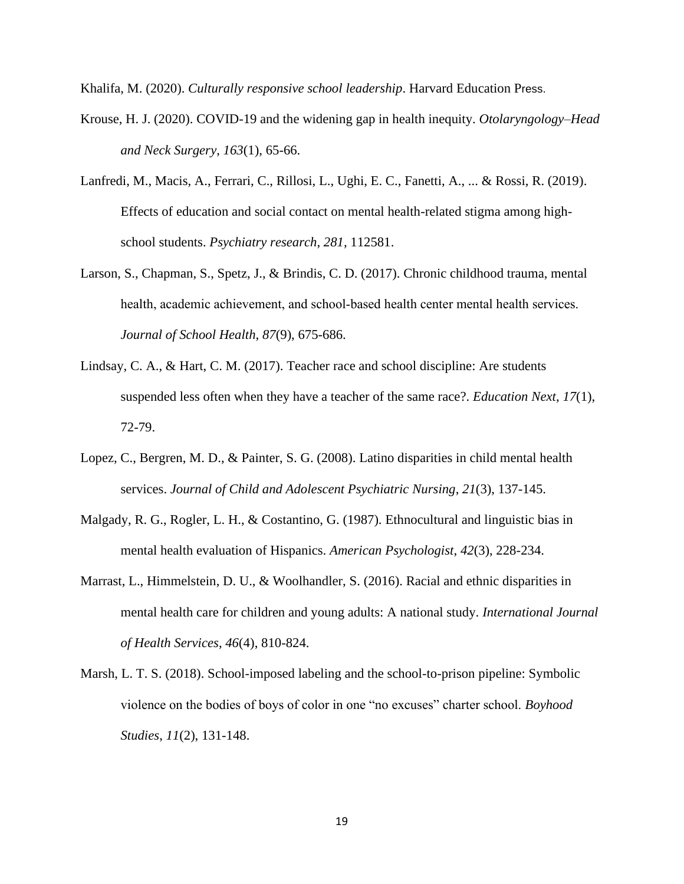Khalifa, M. (2020). *Culturally responsive school leadership*. Harvard Education Press.

- Krouse, H. J. (2020). COVID-19 and the widening gap in health inequity. *Otolaryngology–Head and Neck Surgery*, *163*(1), 65-66.
- Lanfredi, M., Macis, A., Ferrari, C., Rillosi, L., Ughi, E. C., Fanetti, A., ... & Rossi, R. (2019). Effects of education and social contact on mental health-related stigma among highschool students. *Psychiatry research*, *281*, 112581.
- Larson, S., Chapman, S., Spetz, J., & Brindis, C. D. (2017). Chronic childhood trauma, mental health, academic achievement, and school‐based health center mental health services. *Journal of School Health*, *87*(9), 675-686.
- Lindsay, C. A., & Hart, C. M. (2017). Teacher race and school discipline: Are students suspended less often when they have a teacher of the same race?. *Education Next*, *17*(1), 72-79.
- Lopez, C., Bergren, M. D., & Painter, S. G. (2008). Latino disparities in child mental health services. *Journal of Child and Adolescent Psychiatric Nursing*, *21*(3), 137-145.
- Malgady, R. G., Rogler, L. H., & Costantino, G. (1987). Ethnocultural and linguistic bias in mental health evaluation of Hispanics. *American Psychologist*, *42*(3), 228-234.
- Marrast, L., Himmelstein, D. U., & Woolhandler, S. (2016). Racial and ethnic disparities in mental health care for children and young adults: A national study. *International Journal of Health Services*, *46*(4), 810-824.
- Marsh, L. T. S. (2018). School-imposed labeling and the school-to-prison pipeline: Symbolic violence on the bodies of boys of color in one "no excuses" charter school. *Boyhood Studies*, *11*(2), 131-148.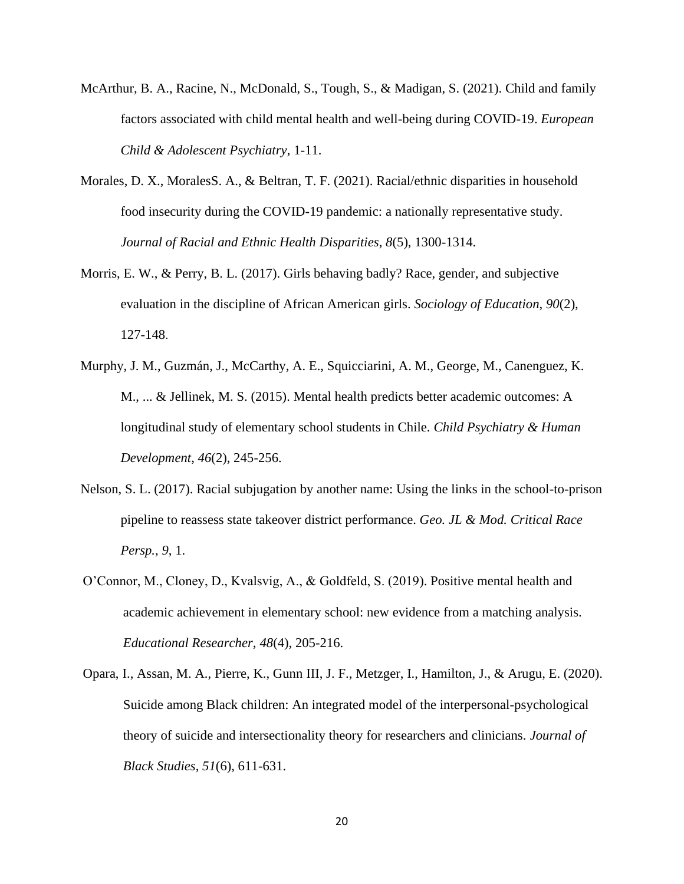- McArthur, B. A., Racine, N., McDonald, S., Tough, S., & Madigan, S. (2021). Child and family factors associated with child mental health and well-being during COVID-19. *European Child & Adolescent Psychiatry*, 1-11.
- Morales, D. X., MoralesS. A., & Beltran, T. F. (2021). Racial/ethnic disparities in household food insecurity during the COVID-19 pandemic: a nationally representative study. *Journal of Racial and Ethnic Health Disparities*, *8*(5), 1300-1314.
- Morris, E. W., & Perry, B. L. (2017). Girls behaving badly? Race, gender, and subjective evaluation in the discipline of African American girls. *Sociology of Education*, *90*(2), 127-148.
- Murphy, J. M., Guzmán, J., McCarthy, A. E., Squicciarini, A. M., George, M., Canenguez, K. M., ... & Jellinek, M. S. (2015). Mental health predicts better academic outcomes: A longitudinal study of elementary school students in Chile. *Child Psychiatry & Human Development*, *46*(2), 245-256.
- Nelson, S. L. (2017). Racial subjugation by another name: Using the links in the school-to-prison pipeline to reassess state takeover district performance. *Geo. JL & Mod. Critical Race Persp.*, *9*, 1.
- O'Connor, M., Cloney, D., Kvalsvig, A., & Goldfeld, S. (2019). Positive mental health and academic achievement in elementary school: new evidence from a matching analysis. *Educational Researcher*, *48*(4), 205-216.
- Opara, I., Assan, M. A., Pierre, K., Gunn III, J. F., Metzger, I., Hamilton, J., & Arugu, E. (2020). Suicide among Black children: An integrated model of the interpersonal-psychological theory of suicide and intersectionality theory for researchers and clinicians. *Journal of Black Studies*, *51*(6), 611-631.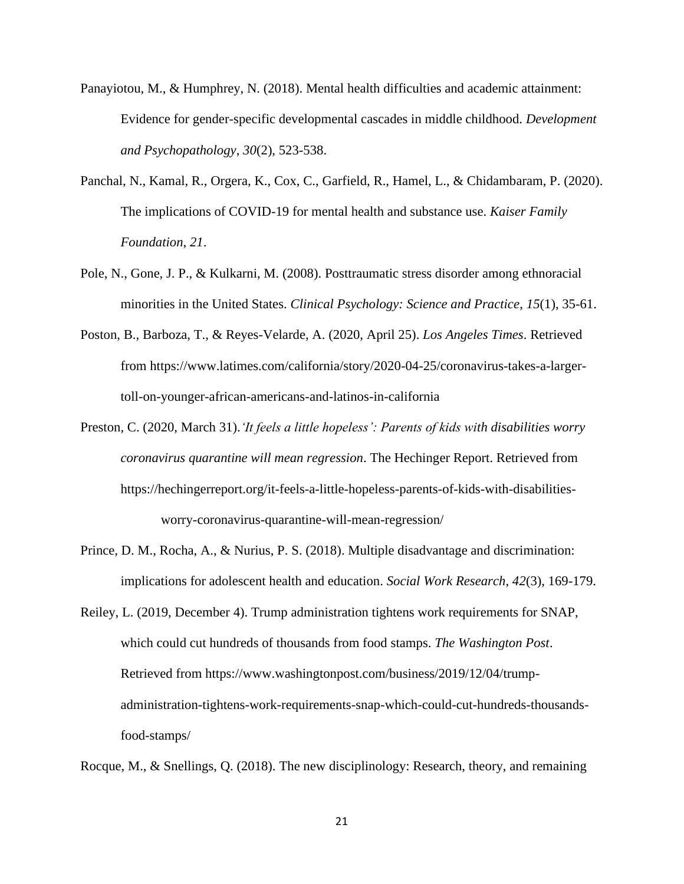- Panayiotou, M., & Humphrey, N. (2018). Mental health difficulties and academic attainment: Evidence for gender-specific developmental cascades in middle childhood. *Development and Psychopathology*, *30*(2), 523-538.
- Panchal, N., Kamal, R., Orgera, K., Cox, C., Garfield, R., Hamel, L., & Chidambaram, P. (2020). The implications of COVID-19 for mental health and substance use. *Kaiser Family Foundation*, *21*.
- Pole, N., Gone, J. P., & Kulkarni, M. (2008). Posttraumatic stress disorder among ethnoracial minorities in the United States. *Clinical Psychology: Science and Practice*, *15*(1), 35-61.
- Poston, B., Barboza, T., & Reyes-Velarde, A. (2020, April 25). *Los Angeles Times*. Retrieved from [https://www.latimes.com/california/story/2020-04-25/coronavirus-takes-a-larger](https://www.latimes.com/california/story/2020-04-25/coronavirus-takes-a-larger-toll-on-younger-african-americans-and-latinos-in-california)[toll-on-younger-african-americans-and-latinos-in-california](https://www.latimes.com/california/story/2020-04-25/coronavirus-takes-a-larger-toll-on-younger-african-americans-and-latinos-in-california)
- Preston, C. (2020, March 31).*'It feels a little hopeless': Parents of kids with disabilities worry coronavirus quarantine will mean regression*. The Hechinger Report. Retrieved from [https://hechingerreport.org/it-feels-a-little-hopeless-parents-of-kids-with-disabilities](https://hechingerreport.org/it-feels-a-little-hopeless-parents-of-kids-with-disabilities-worry-coronavirus-quarantine-will-mean-regression/)[worry-coronavirus-quarantine-will-mean-regression/](https://hechingerreport.org/it-feels-a-little-hopeless-parents-of-kids-with-disabilities-worry-coronavirus-quarantine-will-mean-regression/)
- Prince, D. M., Rocha, A., & Nurius, P. S. (2018). Multiple disadvantage and discrimination: implications for adolescent health and education. *Social Work Research*, *42*(3), 169-179.
- Reiley, L. (2019, December 4). Trump administration tightens work requirements for SNAP, which could cut hundreds of thousands from food stamps. *The Washington Post*. Retrieved from [https://www.washingtonpost.com/business/2019/12/04/trump](https://www.washingtonpost.com/business/2019/12/04/trump-administration-tightens-work-requirements-snap-which-could-cut-hundreds-thousands-food-stamps/)[administration-tightens-work-requirements-snap-which-could-cut-hundreds-thousands](https://www.washingtonpost.com/business/2019/12/04/trump-administration-tightens-work-requirements-snap-which-could-cut-hundreds-thousands-food-stamps/)[food-stamps/](https://www.washingtonpost.com/business/2019/12/04/trump-administration-tightens-work-requirements-snap-which-could-cut-hundreds-thousands-food-stamps/)

Rocque, M., & Snellings, Q. (2018). The new disciplinology: Research, theory, and remaining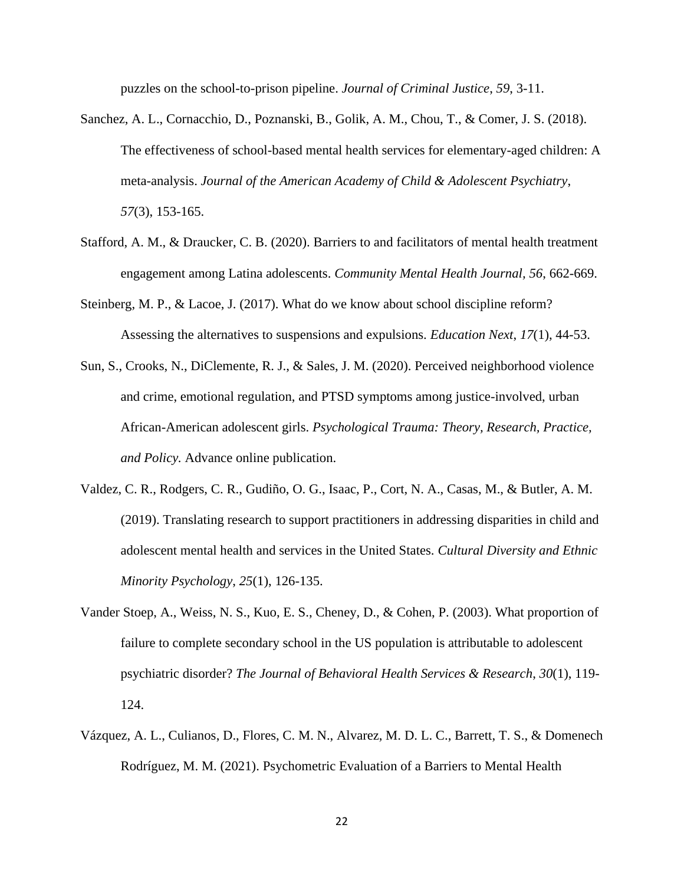puzzles on the school-to-prison pipeline. *Journal of Criminal Justice*, *59*, 3-11.

- Sanchez, A. L., Cornacchio, D., Poznanski, B., Golik, A. M., Chou, T., & Comer, J. S. (2018). The effectiveness of school-based mental health services for elementary-aged children: A meta-analysis. *Journal of the American Academy of Child & Adolescent Psychiatry*, *57*(3), 153-165.
- Stafford, A. M., & Draucker, C. B. (2020). Barriers to and facilitators of mental health treatment engagement among Latina adolescents. *Community Mental Health Journal, 56*, 662-669.
- Steinberg, M. P., & Lacoe, J. (2017). What do we know about school discipline reform? Assessing the alternatives to suspensions and expulsions. *Education Next*, *17*(1), 44-53.
- Sun, S., Crooks, N., DiClemente, R. J., & Sales, J. M. (2020). Perceived neighborhood violence and crime, emotional regulation, and PTSD symptoms among justice-involved, urban African-American adolescent girls. *Psychological Trauma: Theory, Research, Practice, and Policy.* Advance online publication.
- Valdez, C. R., Rodgers, C. R., Gudiño, O. G., Isaac, P., Cort, N. A., Casas, M., & Butler, A. M. (2019). Translating research to support practitioners in addressing disparities in child and adolescent mental health and services in the United States. *Cultural Diversity and Ethnic Minority Psychology*, *25*(1), 126-135.
- Vander Stoep, A., Weiss, N. S., Kuo, E. S., Cheney, D., & Cohen, P. (2003). What proportion of failure to complete secondary school in the US population is attributable to adolescent psychiatric disorder? *The Journal of Behavioral Health Services & Research*, *30*(1), 119- 124.
- Vázquez, A. L., Culianos, D., Flores, C. M. N., Alvarez, M. D. L. C., Barrett, T. S., & Domenech Rodríguez, M. M. (2021). Psychometric Evaluation of a Barriers to Mental Health